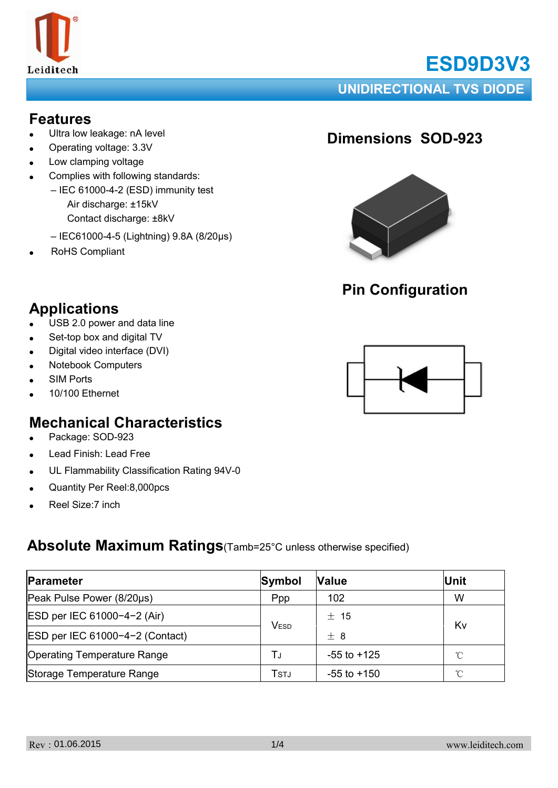

# **ESD9D3V3**

**UNIDIRECTIONAL TVS DIODE**

### **Features**

- Ultra low leakage: nA level
- Operating voltage: 3.3V
- Low clamping voltage
- Complies with following standards:
	- IEC 61000-4-2 (ESD) immunity test Air discharge: ±15kV Contact discharge: ±8kV
	- IEC61000-4-5 (Lightning) 9.8A (8/20μs)
- RoHS Compliant

# **Dimensions SOD-923**



# **Pin Configuration**

# **Applications**

- $\bullet$  USB 2.0 power and data line
- Set-top box and digital TV
- Digital video interface (DVI)
- **Notebook Computers**
- **SIM Ports**
- 10/100 Ethernet

## **Mechanical Characteristics**

- Package: SOD-923
- Lead Finish: Lead Free
- UL Flammability Classification Rating 94V-0
- Quantity Per Reel:8,000pcs
- Reel Size: 7 inch

### **Absolute Maximum Ratings**(Tamb=25°C unless otherwise specified)

| Parameter                          | Symbol | <b>Value</b>    | Unit |  |
|------------------------------------|--------|-----------------|------|--|
| Peak Pulse Power (8/20µs)          | Ppp    | 102             | W    |  |
| ESD per IEC 61000-4-2 (Air)        | VESD   | $±$ 15          | Kv   |  |
| ESD per IEC 61000-4-2 (Contact)    |        | $+8$            |      |  |
| <b>Operating Temperature Range</b> | TJ     | $-55$ to $+125$ | °C   |  |
| Storage Temperature Range          | Tstj   | $-55$ to $+150$ | °C   |  |

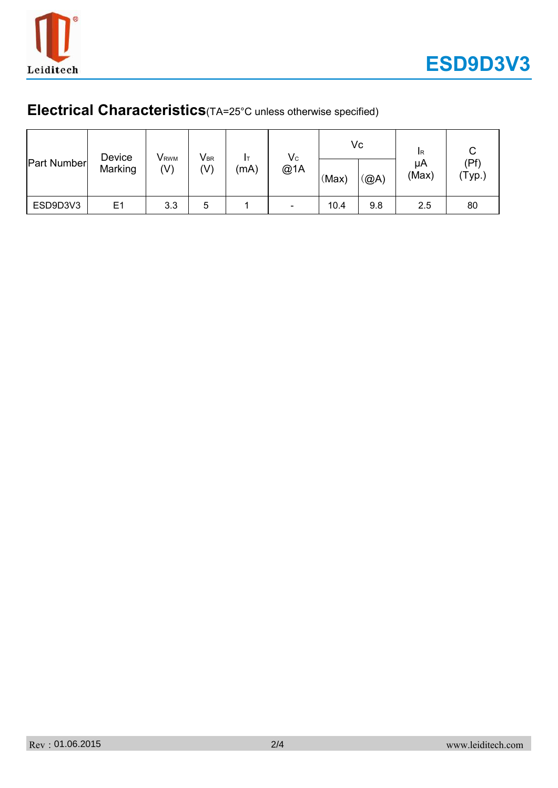

# **Electrical Characteristics**(TA=25°C unless otherwise specified)

| <b>Part Number</b> | Device<br>Marking | <b>V</b> <sub>RWM</sub><br>(V) | $\mathsf{V}_{\texttt{BR}}$<br>(V) | (mA) | $V_{C}$<br>@1A | (Max) | Vc<br>(@A) | <b>IR</b><br>μA<br>(Max) | (Pf)<br>(Typ.) |
|--------------------|-------------------|--------------------------------|-----------------------------------|------|----------------|-------|------------|--------------------------|----------------|
| ESD9D3V3           | E <sub>1</sub>    | 3.3                            | 5                                 |      | -              | 10.4  | 9.8        | 2.5                      | 80             |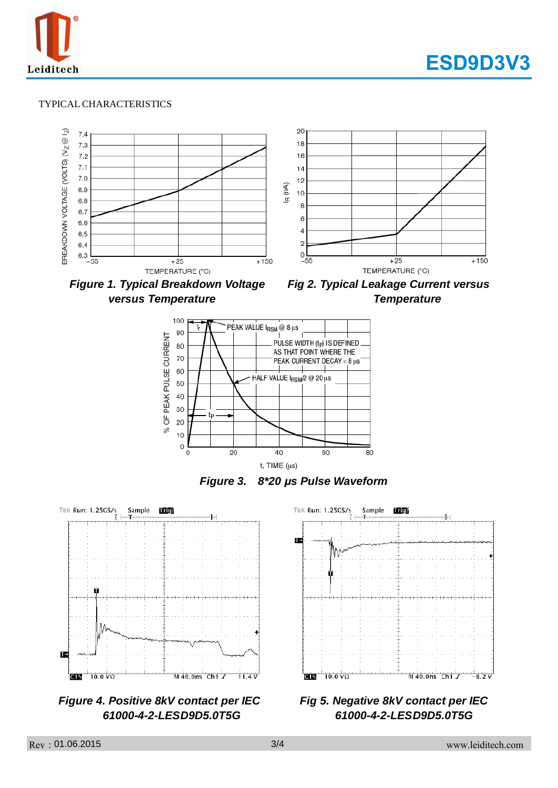



#### TYPICAL CHARACTERISTICS



*versus Temperature Temperature* 





*Figure 3. 8\*20 μs Pulse Waveform*